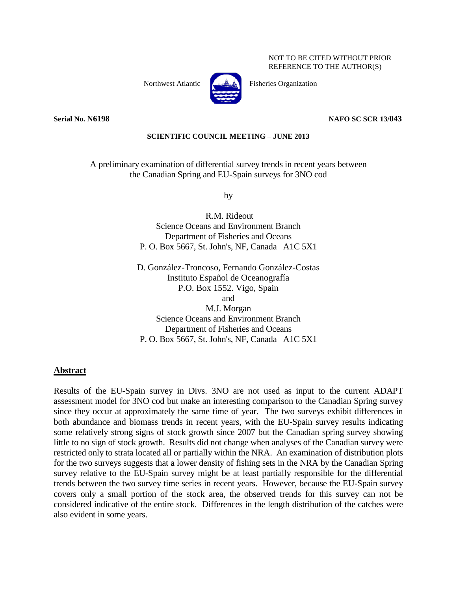NOT TO BE CITED WITHOUT PRIOR REFERENCE TO THE AUTHOR(S)



Northwest Atlantic  $\begin{bmatrix} 1 & A \\ A & A \end{bmatrix}$  Fisheries Organization

#### **Serial No. N6198 NAFO SC SCR 13/043**

#### **SCIENTIFIC COUNCIL MEETING – JUNE 2013**

A preliminary examination of differential survey trends in recent years between the Canadian Spring and EU-Spain surveys for 3NO cod

by

R.M. Rideout Science Oceans and Environment Branch Department of Fisheries and Oceans P. O. Box 5667, St. John's, NF, Canada A1C 5X1

D. González-Troncoso, Fernando González-Costas Instituto Español de Oceanografía P.O. Box 1552. Vigo, Spain and

M.J. Morgan Science Oceans and Environment Branch Department of Fisheries and Oceans P. O. Box 5667, St. John's, NF, Canada A1C 5X1

#### **Abstract**

Results of the EU-Spain survey in Divs. 3NO are not used as input to the current ADAPT assessment model for 3NO cod but make an interesting comparison to the Canadian Spring survey since they occur at approximately the same time of year. The two surveys exhibit differences in both abundance and biomass trends in recent years, with the EU-Spain survey results indicating some relatively strong signs of stock growth since 2007 but the Canadian spring survey showing little to no sign of stock growth. Results did not change when analyses of the Canadian survey were restricted only to strata located all or partially within the NRA. An examination of distribution plots for the two surveys suggests that a lower density of fishing sets in the NRA by the Canadian Spring survey relative to the EU-Spain survey might be at least partially responsible for the differential trends between the two survey time series in recent years. However, because the EU-Spain survey covers only a small portion of the stock area, the observed trends for this survey can not be considered indicative of the entire stock. Differences in the length distribution of the catches were also evident in some years.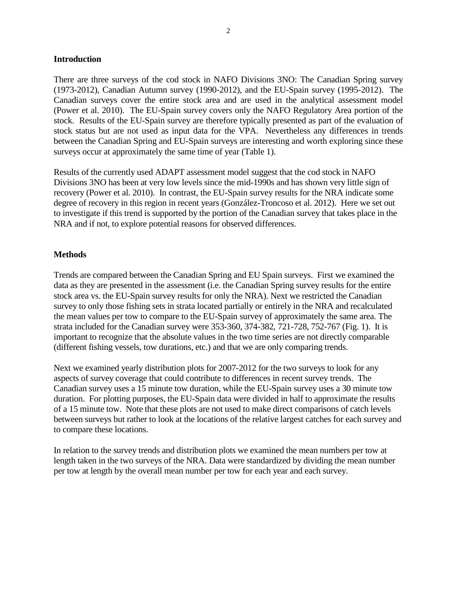### **Introduction**

There are three surveys of the cod stock in NAFO Divisions 3NO: The Canadian Spring survey (1973-2012), Canadian Autumn survey (1990-2012), and the EU-Spain survey (1995-2012). The Canadian surveys cover the entire stock area and are used in the analytical assessment model (Power et al. 2010). The EU-Spain survey covers only the NAFO Regulatory Area portion of the stock. Results of the EU-Spain survey are therefore typically presented as part of the evaluation of stock status but are not used as input data for the VPA. Nevertheless any differences in trends between the Canadian Spring and EU-Spain surveys are interesting and worth exploring since these surveys occur at approximately the same time of year (Table 1).

Results of the currently used ADAPT assessment model suggest that the cod stock in NAFO Divisions 3NO has been at very low levels since the mid-1990s and has shown very little sign of recovery (Power et al. 2010). In contrast, the EU-Spain survey results for the NRA indicate some degree of recovery in this region in recent years (González-Troncoso et al. 2012). Here we set out to investigate if this trend is supported by the portion of the Canadian survey that takes place in the NRA and if not, to explore potential reasons for observed differences.

# **Methods**

Trends are compared between the Canadian Spring and EU Spain surveys. First we examined the data as they are presented in the assessment (i.e. the Canadian Spring survey results for the entire stock area vs. the EU-Spain survey results for only the NRA). Next we restricted the Canadian survey to only those fishing sets in strata located partially or entirely in the NRA and recalculated the mean values per tow to compare to the EU-Spain survey of approximately the same area. The strata included for the Canadian survey were 353-360, 374-382, 721-728, 752-767 (Fig. 1). It is important to recognize that the absolute values in the two time series are not directly comparable (different fishing vessels, tow durations, etc.) and that we are only comparing trends.

Next we examined yearly distribution plots for 2007-2012 for the two surveys to look for any aspects of survey coverage that could contribute to differences in recent survey trends. The Canadian survey uses a 15 minute tow duration, while the EU-Spain survey uses a 30 minute tow duration. For plotting purposes, the EU-Spain data were divided in half to approximate the results of a 15 minute tow. Note that these plots are not used to make direct comparisons of catch levels between surveys but rather to look at the locations of the relative largest catches for each survey and to compare these locations.

In relation to the survey trends and distribution plots we examined the mean numbers per tow at length taken in the two surveys of the NRA. Data were standardized by dividing the mean number per tow at length by the overall mean number per tow for each year and each survey.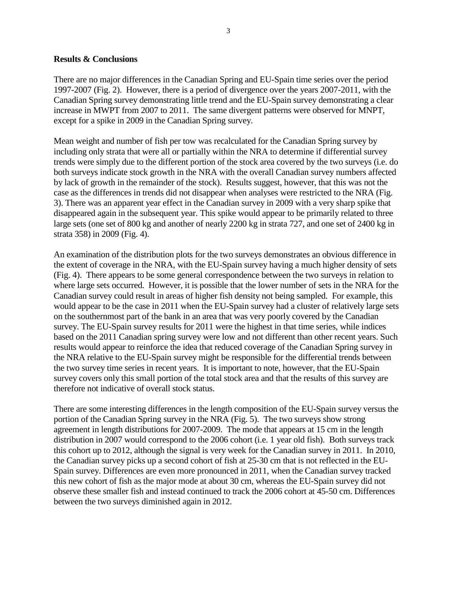### **Results & Conclusions**

There are no major differences in the Canadian Spring and EU-Spain time series over the period 1997-2007 (Fig. 2). However, there is a period of divergence over the years 2007-2011, with the Canadian Spring survey demonstrating little trend and the EU-Spain survey demonstrating a clear increase in MWPT from 2007 to 2011. The same divergent patterns were observed for MNPT, except for a spike in 2009 in the Canadian Spring survey.

Mean weight and number of fish per tow was recalculated for the Canadian Spring survey by including only strata that were all or partially within the NRA to determine if differential survey trends were simply due to the different portion of the stock area covered by the two surveys (i.e. do both surveys indicate stock growth in the NRA with the overall Canadian survey numbers affected by lack of growth in the remainder of the stock). Results suggest, however, that this was not the case as the differences in trends did not disappear when analyses were restricted to the NRA (Fig. 3). There was an apparent year effect in the Canadian survey in 2009 with a very sharp spike that disappeared again in the subsequent year. This spike would appear to be primarily related to three large sets (one set of 800 kg and another of nearly 2200 kg in strata 727, and one set of 2400 kg in strata 358) in 2009 (Fig. 4).

An examination of the distribution plots for the two surveys demonstrates an obvious difference in the extent of coverage in the NRA, with the EU-Spain survey having a much higher density of sets (Fig. 4). There appears to be some general correspondence between the two surveys in relation to where large sets occurred. However, it is possible that the lower number of sets in the NRA for the Canadian survey could result in areas of higher fish density not being sampled. For example, this would appear to be the case in 2011 when the EU-Spain survey had a cluster of relatively large sets on the southernmost part of the bank in an area that was very poorly covered by the Canadian survey. The EU-Spain survey results for 2011 were the highest in that time series, while indices based on the 2011 Canadian spring survey were low and not different than other recent years. Such results would appear to reinforce the idea that reduced coverage of the Canadian Spring survey in the NRA relative to the EU-Spain survey might be responsible for the differential trends between the two survey time series in recent years. It is important to note, however, that the EU-Spain survey covers only this small portion of the total stock area and that the results of this survey are therefore not indicative of overall stock status.

There are some interesting differences in the length composition of the EU-Spain survey versus the portion of the Canadian Spring survey in the NRA (Fig. 5). The two surveys show strong agreement in length distributions for 2007-2009. The mode that appears at 15 cm in the length distribution in 2007 would correspond to the 2006 cohort (i.e. 1 year old fish). Both surveys track this cohort up to 2012, although the signal is very week for the Canadian survey in 2011. In 2010, the Canadian survey picks up a second cohort of fish at 25-30 cm that is not reflected in the EU-Spain survey. Differences are even more pronounced in 2011, when the Canadian survey tracked this new cohort of fish as the major mode at about 30 cm, whereas the EU-Spain survey did not observe these smaller fish and instead continued to track the 2006 cohort at 45-50 cm. Differences between the two surveys diminished again in 2012.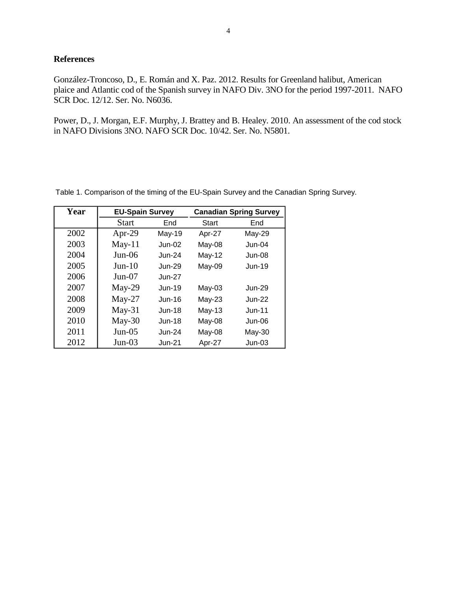## **References**

González-Troncoso, D., E. Román and X. Paz. 2012. Results for Greenland halibut, American plaice and Atlantic cod of the Spanish survey in NAFO Div. 3NO for the period 1997-2011. NAFO SCR Doc. 12/12. Ser. No. N6036.

Power, D., J. Morgan, E.F. Murphy, J. Brattey and B. Healey. 2010. An assessment of the cod stock in NAFO Divisions 3NO. NAFO SCR Doc. 10/42. Ser. No. N5801.

| Year | <b>EU-Spain Survey</b> |               | <b>Canadian Spring Survey</b> |               |
|------|------------------------|---------------|-------------------------------|---------------|
|      | Start                  | End           | <b>Start</b>                  | End           |
| 2002 | Apr-29                 | <b>May-19</b> | Apr-27                        | May-29        |
| 2003 | $May-11$               | $Jun-02$      | May-08                        | <b>Jun-04</b> |
| 2004 | $Jun-06$               | $J$ un-24     | May-12                        | $Jun-08$      |
| 2005 | $Jun-10$               | $Jun-29$      | May-09                        | <b>Jun-19</b> |
| 2006 | $Jun-07$               | $Jun-27$      |                               |               |
| 2007 | $May-29$               | $Jun-19$      | $May-03$                      | $Jun-29$      |
| 2008 | $May-27$               | $Jun-16$      | $May-23$                      | $Jun-22$      |
| 2009 | $May-31$               | $Jun-18$      | $May-13$                      | $Jun-11$      |
| 2010 | $May-30$               | $Jun-18$      | May-08                        | <b>Jun-06</b> |
| 2011 | $Jun-05$               | $Jun-24$      | May-08                        | May-30        |
| 2012 | $Jun-03$               | <b>Jun-21</b> | Apr-27                        | $Jun-03$      |

Table 1. Comparison of the timing of the EU-Spain Survey and the Canadian Spring Survey.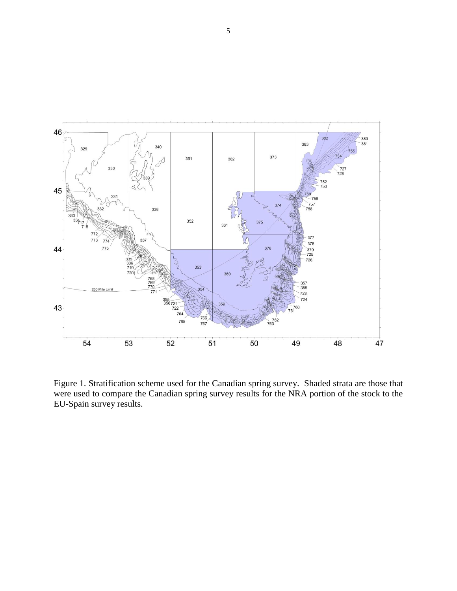

Figure 1. Stratification scheme used for the Canadian spring survey. Shaded strata are those that were used to compare the Canadian spring survey results for the NRA portion of the stock to the EU-Spain survey results.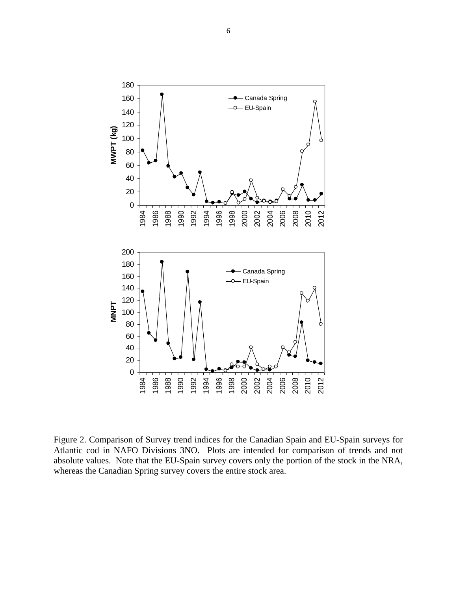

Figure 2. Comparison of Survey trend indices for the Canadian Spain and EU-Spain surveys for Atlantic cod in NAFO Divisions 3NO. Plots are intended for comparison of trends and not absolute values. Note that the EU-Spain survey covers only the portion of the stock in the NRA, whereas the Canadian Spring survey covers the entire stock area.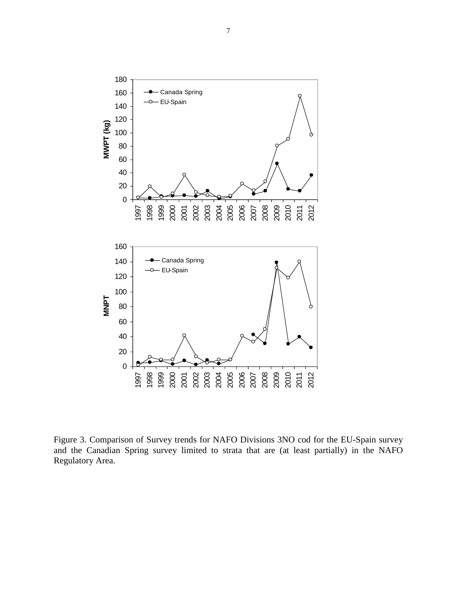

Figure 3. Comparison of Survey trends for NAFO Divisions 3NO cod for the EU-Spain survey and the Canadian Spring survey limited to strata that are (at least partially) in the NAFO Regulatory Area.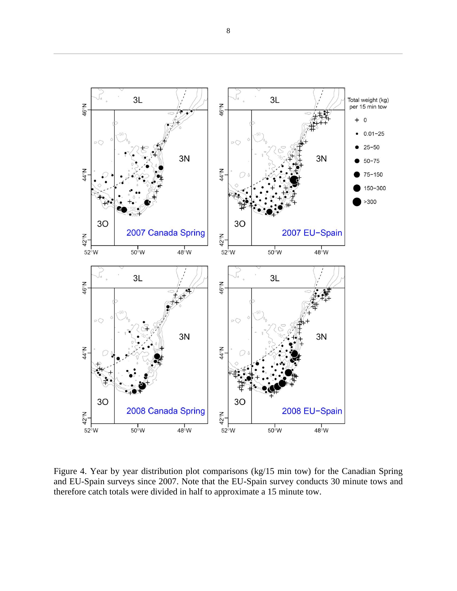

Figure 4. Year by year distribution plot comparisons (kg/15 min tow) for the Canadian Spring and EU-Spain surveys since 2007. Note that the EU-Spain survey conducts 30 minute tows and therefore catch totals were divided in half to approximate a 15 minute tow.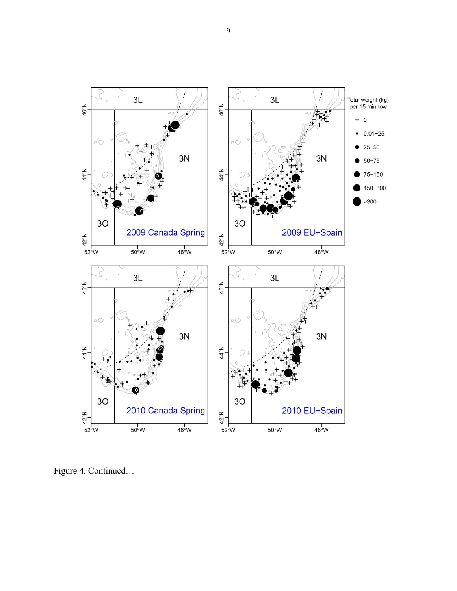

Figure 4. Continued...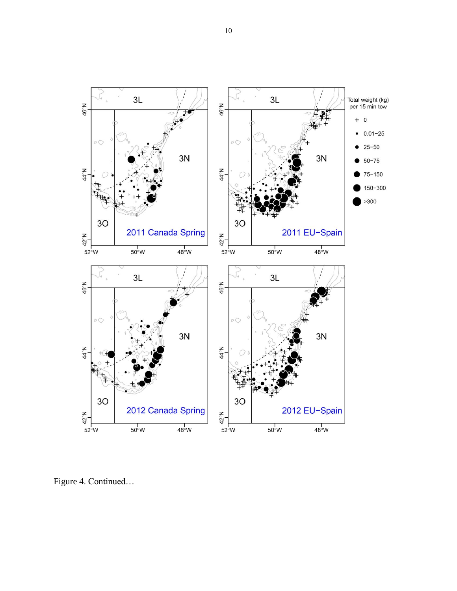

Figure 4. Continued...